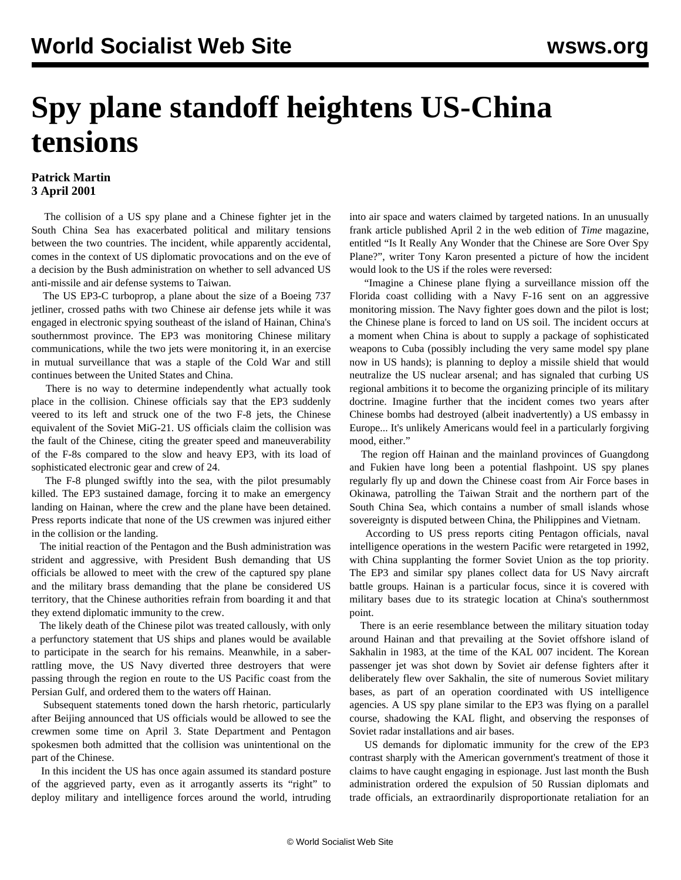## **Spy plane standoff heightens US-China tensions**

## **Patrick Martin 3 April 2001**

 The collision of a US spy plane and a Chinese fighter jet in the South China Sea has exacerbated political and military tensions between the two countries. The incident, while apparently accidental, comes in the context of US diplomatic provocations and on the eve of a decision by the Bush administration on whether to sell advanced US anti-missile and air defense systems to Taiwan.

 The US EP3-C turboprop, a plane about the size of a Boeing 737 jetliner, crossed paths with two Chinese air defense jets while it was engaged in electronic spying southeast of the island of Hainan, China's southernmost province. The EP3 was monitoring Chinese military communications, while the two jets were monitoring it, in an exercise in mutual surveillance that was a staple of the Cold War and still continues between the United States and China.

 There is no way to determine independently what actually took place in the collision. Chinese officials say that the EP3 suddenly veered to its left and struck one of the two F-8 jets, the Chinese equivalent of the Soviet MiG-21. US officials claim the collision was the fault of the Chinese, citing the greater speed and maneuverability of the F-8s compared to the slow and heavy EP3, with its load of sophisticated electronic gear and crew of 24.

 The F-8 plunged swiftly into the sea, with the pilot presumably killed. The EP3 sustained damage, forcing it to make an emergency landing on Hainan, where the crew and the plane have been detained. Press reports indicate that none of the US crewmen was injured either in the collision or the landing.

 The initial reaction of the Pentagon and the Bush administration was strident and aggressive, with President Bush demanding that US officials be allowed to meet with the crew of the captured spy plane and the military brass demanding that the plane be considered US territory, that the Chinese authorities refrain from boarding it and that they extend diplomatic immunity to the crew.

 The likely death of the Chinese pilot was treated callously, with only a perfunctory statement that US ships and planes would be available to participate in the search for his remains. Meanwhile, in a saberrattling move, the US Navy diverted three destroyers that were passing through the region en route to the US Pacific coast from the Persian Gulf, and ordered them to the waters off Hainan.

 Subsequent statements toned down the harsh rhetoric, particularly after Beijing announced that US officials would be allowed to see the crewmen some time on April 3. State Department and Pentagon spokesmen both admitted that the collision was unintentional on the part of the Chinese.

 In this incident the US has once again assumed its standard posture of the aggrieved party, even as it arrogantly asserts its "right" to deploy military and intelligence forces around the world, intruding

into air space and waters claimed by targeted nations. In an unusually frank article published April 2 in the web edition of *Time* magazine, entitled "Is It Really Any Wonder that the Chinese are Sore Over Spy Plane?", writer Tony Karon presented a picture of how the incident would look to the US if the roles were reversed:

 "Imagine a Chinese plane flying a surveillance mission off the Florida coast colliding with a Navy F-16 sent on an aggressive monitoring mission. The Navy fighter goes down and the pilot is lost; the Chinese plane is forced to land on US soil. The incident occurs at a moment when China is about to supply a package of sophisticated weapons to Cuba (possibly including the very same model spy plane now in US hands); is planning to deploy a missile shield that would neutralize the US nuclear arsenal; and has signaled that curbing US regional ambitions it to become the organizing principle of its military doctrine. Imagine further that the incident comes two years after Chinese bombs had destroyed (albeit inadvertently) a US embassy in Europe... It's unlikely Americans would feel in a particularly forgiving mood, either."

 The region off Hainan and the mainland provinces of Guangdong and Fukien have long been a potential flashpoint. US spy planes regularly fly up and down the Chinese coast from Air Force bases in Okinawa, patrolling the Taiwan Strait and the northern part of the South China Sea, which contains a number of small islands whose sovereignty is disputed between China, the Philippines and Vietnam.

 According to US press reports citing Pentagon officials, naval intelligence operations in the western Pacific were retargeted in 1992, with China supplanting the former Soviet Union as the top priority. The EP3 and similar spy planes collect data for US Navy aircraft battle groups. Hainan is a particular focus, since it is covered with military bases due to its strategic location at China's southernmost point.

 There is an eerie resemblance between the military situation today around Hainan and that prevailing at the Soviet offshore island of Sakhalin in 1983, at the time of the KAL 007 incident. The Korean passenger jet was shot down by Soviet air defense fighters after it deliberately flew over Sakhalin, the site of numerous Soviet military bases, as part of an operation coordinated with US intelligence agencies. A US spy plane similar to the EP3 was flying on a parallel course, shadowing the KAL flight, and observing the responses of Soviet radar installations and air bases.

 US demands for diplomatic immunity for the crew of the EP3 contrast sharply with the American government's treatment of those it claims to have caught engaging in espionage. Just last month the Bush administration ordered the expulsion of 50 Russian diplomats and trade officials, an extraordinarily disproportionate retaliation for an